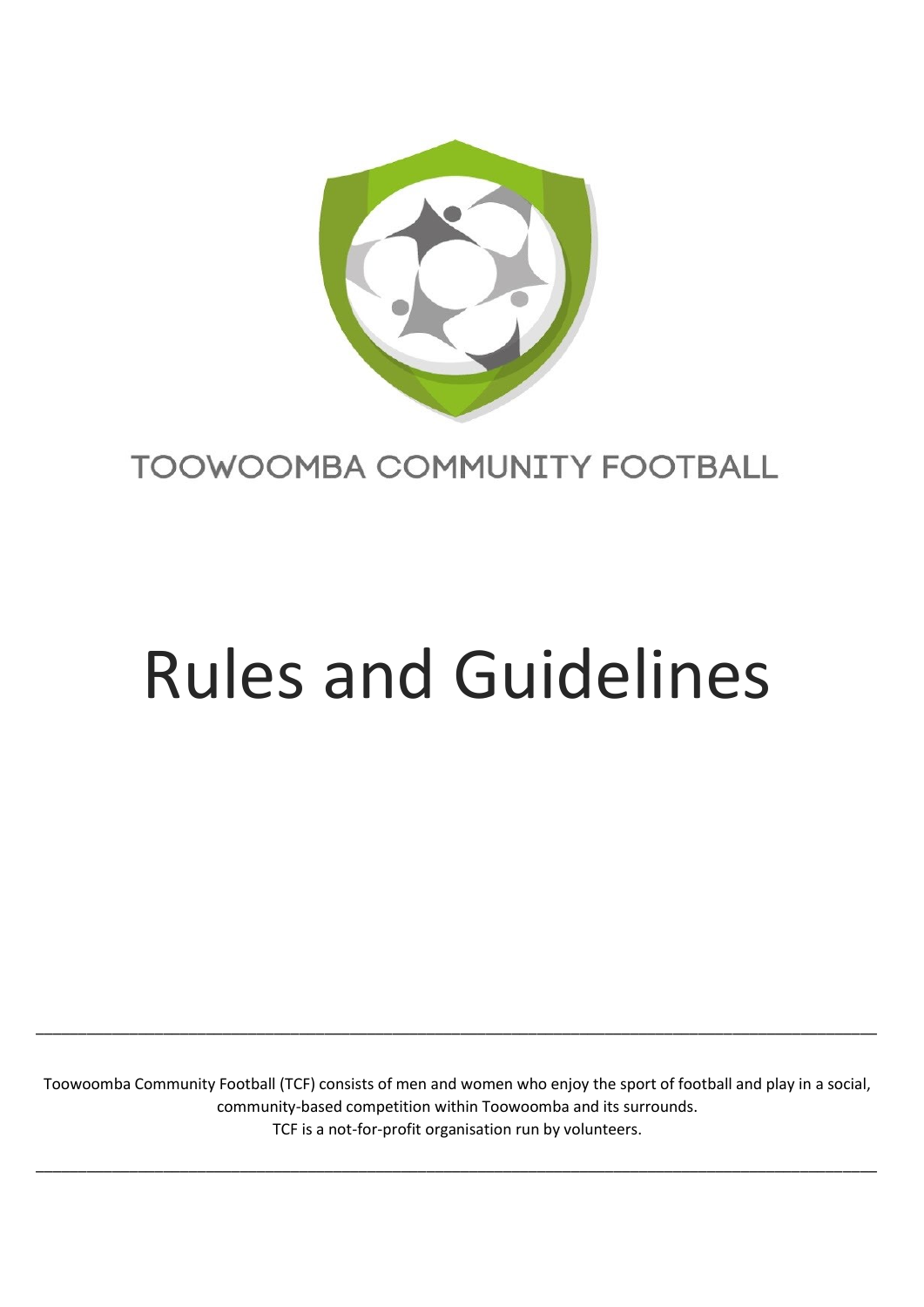

# TOOWOOMBA COMMUNITY FOOTBALL

# Rules and Guidelines

Toowoomba Community Football (TCF) consists of men and women who enjoy the sport of football and play in a social, community-based competition within Toowoomba and its surrounds. TCF is a not-for-profit organisation run by volunteers.

\_\_\_\_\_\_\_\_\_\_\_\_\_\_\_\_\_\_\_\_\_\_\_\_\_\_\_\_\_\_\_\_\_\_\_\_\_\_\_\_\_\_\_\_\_\_\_\_\_\_\_\_\_\_\_\_\_\_\_\_\_\_\_\_\_\_\_\_\_\_\_\_\_\_\_\_\_\_\_\_\_\_\_\_\_\_\_\_\_\_\_\_\_\_\_\_\_\_\_

\_\_\_\_\_\_\_\_\_\_\_\_\_\_\_\_\_\_\_\_\_\_\_\_\_\_\_\_\_\_\_\_\_\_\_\_\_\_\_\_\_\_\_\_\_\_\_\_\_\_\_\_\_\_\_\_\_\_\_\_\_\_\_\_\_\_\_\_\_\_\_\_\_\_\_\_\_\_\_\_\_\_\_\_\_\_\_\_\_\_\_\_\_\_\_\_\_\_\_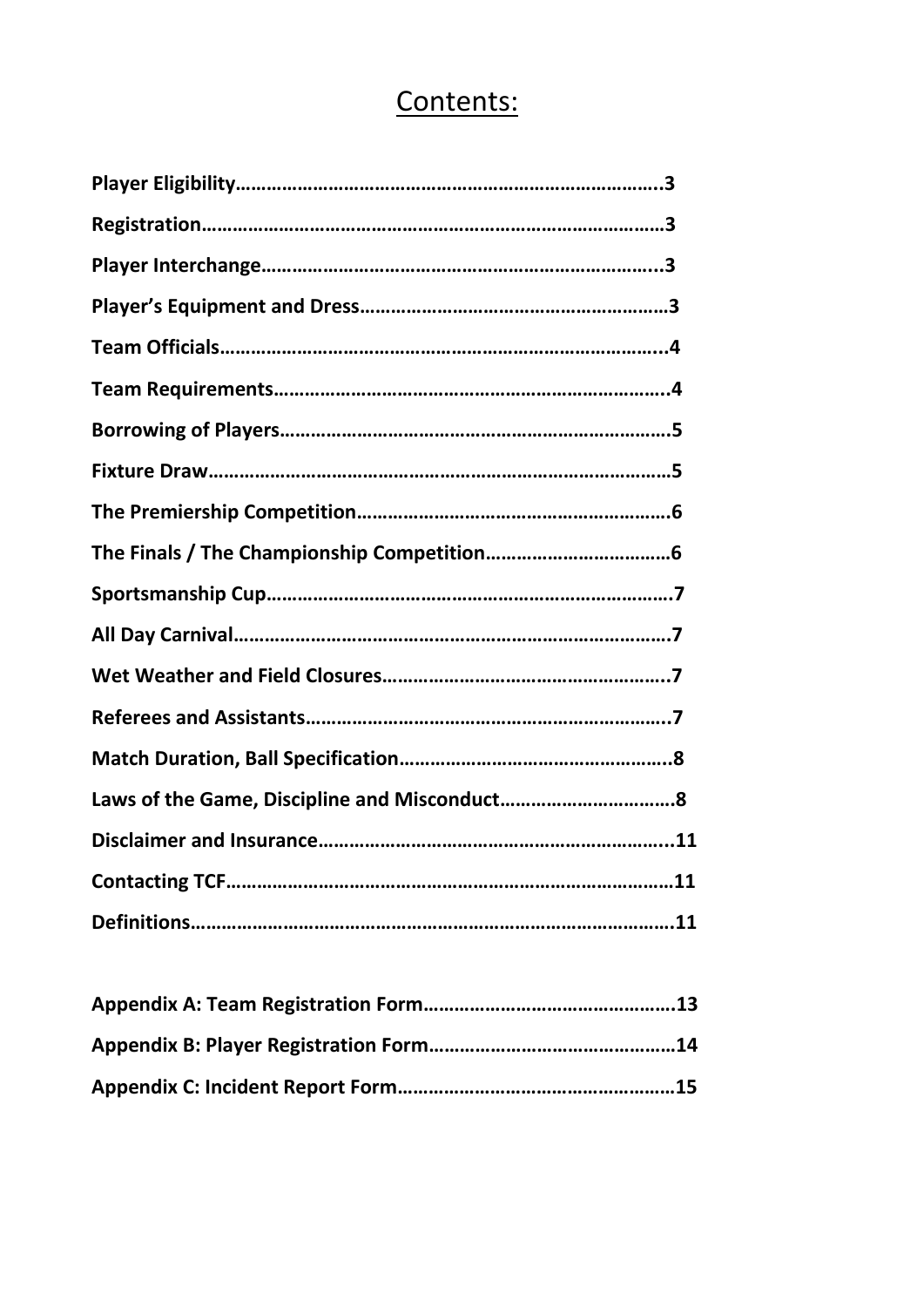# Contents: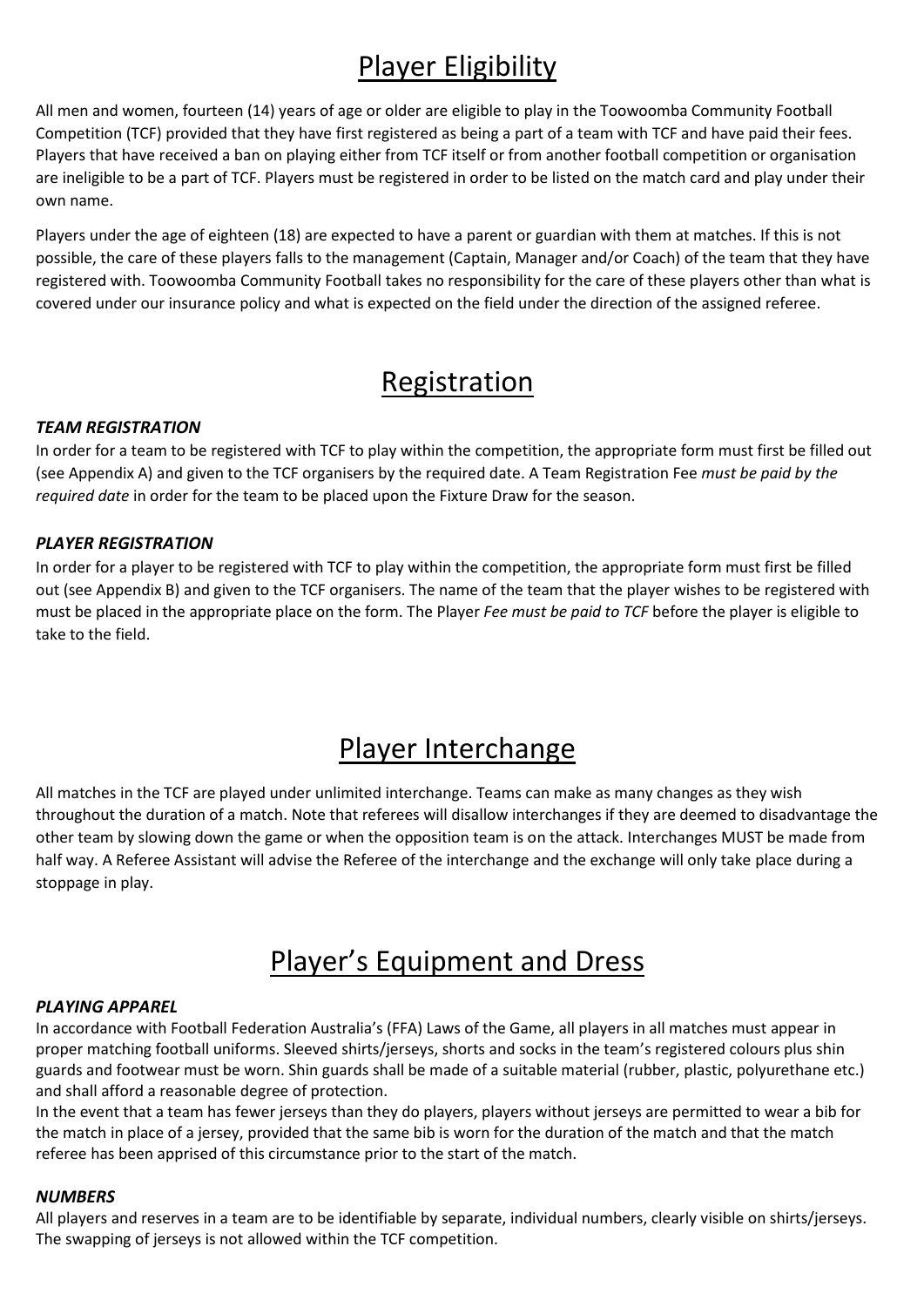# Player Eligibility

All men and women, fourteen (14) years of age or older are eligible to play in the Toowoomba Community Football Competition (TCF) provided that they have first registered as being a part of a team with TCF and have paid their fees. Players that have received a ban on playing either from TCF itself or from another football competition or organisation are ineligible to be a part of TCF. Players must be registered in order to be listed on the match card and play under their own name.

Players under the age of eighteen (18) are expected to have a parent or guardian with them at matches. If this is not possible, the care of these players falls to the management (Captain, Manager and/or Coach) of the team that they have registered with. Toowoomba Community Football takes no responsibility for the care of these players other than what is covered under our insurance policy and what is expected on the field under the direction of the assigned referee.

# **Registration**

#### *TEAM REGISTRATION*

In order for a team to be registered with TCF to play within the competition, the appropriate form must first be filled out (see Appendix A) and given to the TCF organisers by the required date. A Team Registration Fee *must be paid by the required date* in order for the team to be placed upon the Fixture Draw for the season.

#### *PLAYER REGISTRATION*

In order for a player to be registered with TCF to play within the competition, the appropriate form must first be filled out (see Appendix B) and given to the TCF organisers. The name of the team that the player wishes to be registered with must be placed in the appropriate place on the form. The Player *Fee must be paid to TCF* before the player is eligible to take to the field.

# Player Interchange

All matches in the TCF are played under unlimited interchange. Teams can make as many changes as they wish throughout the duration of a match. Note that referees will disallow interchanges if they are deemed to disadvantage the other team by slowing down the game or when the opposition team is on the attack. Interchanges MUST be made from half way. A Referee Assistant will advise the Referee of the interchange and the exchange will only take place during a stoppage in play.

# Player's Equipment and Dress

#### *PLAYING APPAREL*

In accordance with Football Federation Australia's (FFA) Laws of the Game, all players in all matches must appear in proper matching football uniforms. Sleeved shirts/jerseys, shorts and socks in the team's registered colours plus shin guards and footwear must be worn. Shin guards shall be made of a suitable material (rubber, plastic, polyurethane etc.) and shall afford a reasonable degree of protection.

In the event that a team has fewer jerseys than they do players, players without jerseys are permitted to wear a bib for the match in place of a jersey, provided that the same bib is worn for the duration of the match and that the match referee has been apprised of this circumstance prior to the start of the match.

#### *NUMBERS*

All players and reserves in a team are to be identifiable by separate, individual numbers, clearly visible on shirts/jerseys. The swapping of jerseys is not allowed within the TCF competition.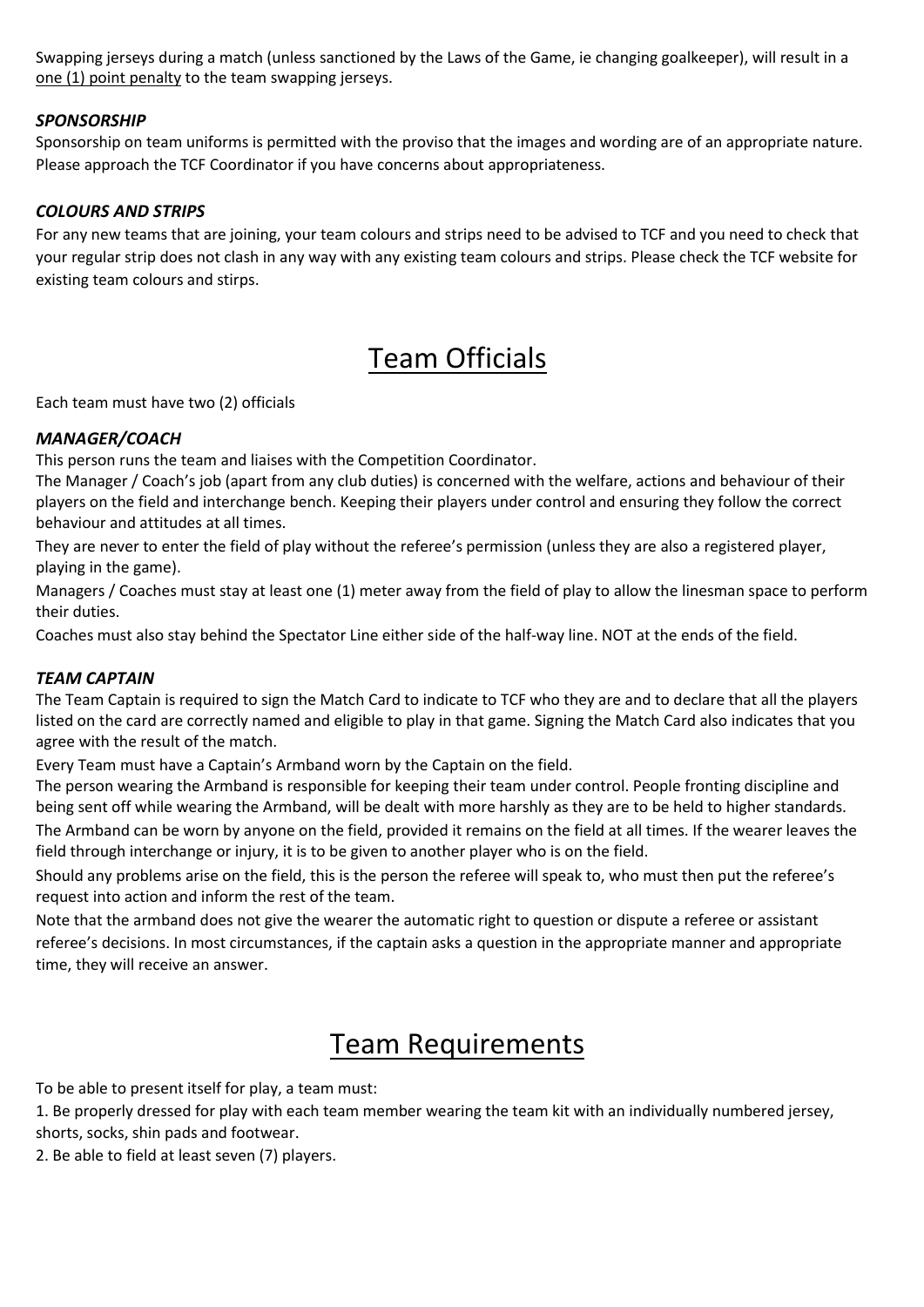Swapping jerseys during a match (unless sanctioned by the Laws of the Game, ie changing goalkeeper), will result in a one (1) point penalty to the team swapping jerseys.

#### *SPONSORSHIP*

Sponsorship on team uniforms is permitted with the proviso that the images and wording are of an appropriate nature. Please approach the TCF Coordinator if you have concerns about appropriateness.

#### *COLOURS AND STRIPS*

For any new teams that are joining, your team colours and strips need to be advised to TCF and you need to check that your regular strip does not clash in any way with any existing team colours and strips. Please check the TCF website for existing team colours and stirps.

### Team Officials

Each team must have two (2) officials

#### *MANAGER/COACH*

This person runs the team and liaises with the Competition Coordinator.

The Manager / Coach's job (apart from any club duties) is concerned with the welfare, actions and behaviour of their players on the field and interchange bench. Keeping their players under control and ensuring they follow the correct behaviour and attitudes at all times.

They are never to enter the field of play without the referee's permission (unless they are also a registered player, playing in the game).

Managers / Coaches must stay at least one (1) meter away from the field of play to allow the linesman space to perform their duties.

Coaches must also stay behind the Spectator Line either side of the half-way line. NOT at the ends of the field.

#### *TEAM CAPTAIN*

The Team Captain is required to sign the Match Card to indicate to TCF who they are and to declare that all the players listed on the card are correctly named and eligible to play in that game. Signing the Match Card also indicates that you agree with the result of the match.

Every Team must have a Captain's Armband worn by the Captain on the field.

The person wearing the Armband is responsible for keeping their team under control. People fronting discipline and being sent off while wearing the Armband, will be dealt with more harshly as they are to be held to higher standards.

The Armband can be worn by anyone on the field, provided it remains on the field at all times. If the wearer leaves the field through interchange or injury, it is to be given to another player who is on the field.

Should any problems arise on the field, this is the person the referee will speak to, who must then put the referee's request into action and inform the rest of the team.

Note that the armband does not give the wearer the automatic right to question or dispute a referee or assistant referee's decisions. In most circumstances, if the captain asks a question in the appropriate manner and appropriate time, they will receive an answer.

### Team Requirements

To be able to present itself for play, a team must:

1. Be properly dressed for play with each team member wearing the team kit with an individually numbered jersey, shorts, socks, shin pads and footwear.

2. Be able to field at least seven (7) players.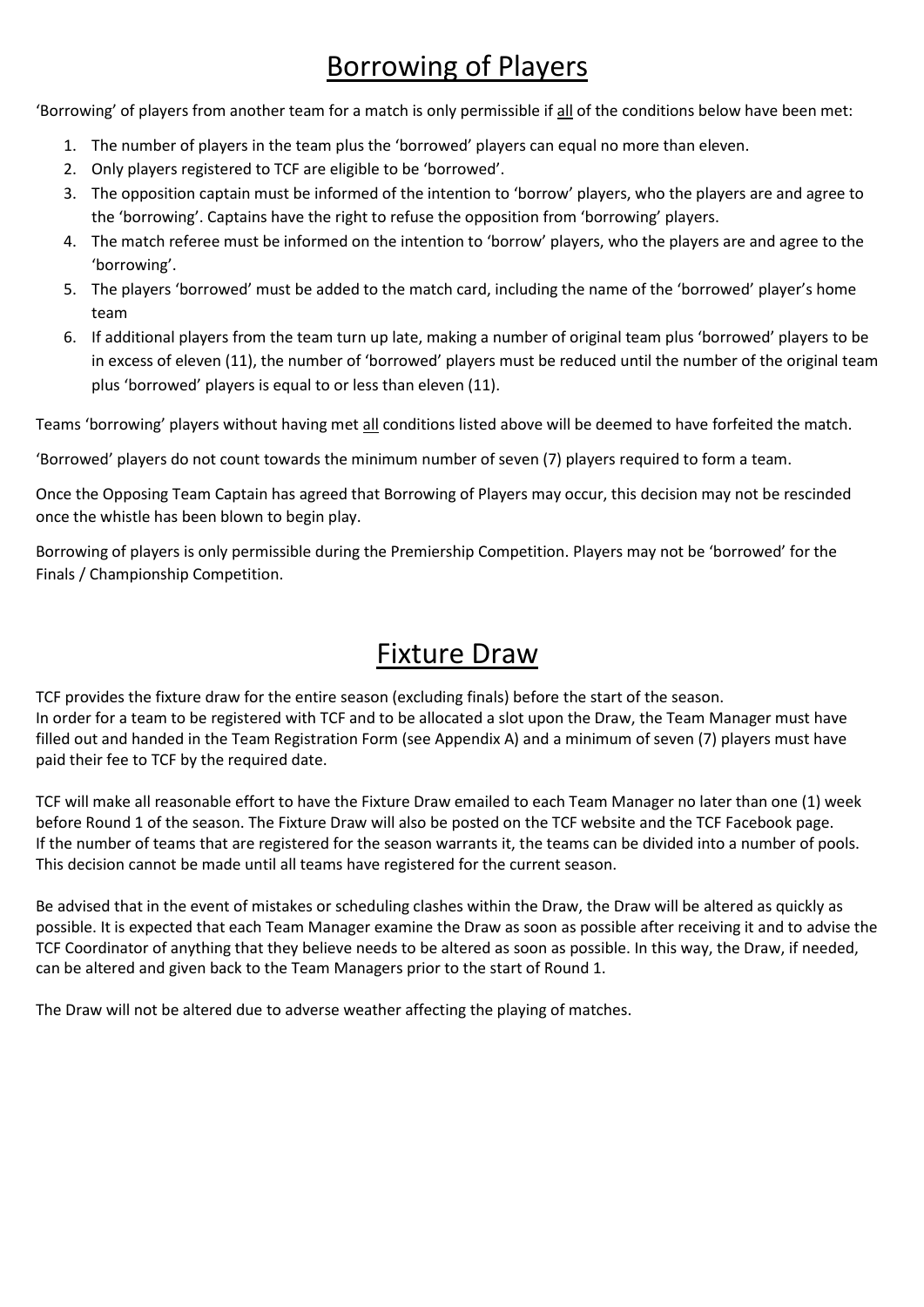# Borrowing of Players

'Borrowing' of players from another team for a match is only permissible if all of the conditions below have been met:

- 1. The number of players in the team plus the 'borrowed' players can equal no more than eleven.
- 2. Only players registered to TCF are eligible to be 'borrowed'.
- 3. The opposition captain must be informed of the intention to 'borrow' players, who the players are and agree to the 'borrowing'. Captains have the right to refuse the opposition from 'borrowing' players.
- 4. The match referee must be informed on the intention to 'borrow' players, who the players are and agree to the 'borrowing'.
- 5. The players 'borrowed' must be added to the match card, including the name of the 'borrowed' player's home team
- 6. If additional players from the team turn up late, making a number of original team plus 'borrowed' players to be in excess of eleven (11), the number of 'borrowed' players must be reduced until the number of the original team plus 'borrowed' players is equal to or less than eleven (11).

Teams 'borrowing' players without having met all conditions listed above will be deemed to have forfeited the match.

'Borrowed' players do not count towards the minimum number of seven (7) players required to form a team.

Once the Opposing Team Captain has agreed that Borrowing of Players may occur, this decision may not be rescinded once the whistle has been blown to begin play.

Borrowing of players is only permissible during the Premiership Competition. Players may not be 'borrowed' for the Finals / Championship Competition.

### Fixture Draw

TCF provides the fixture draw for the entire season (excluding finals) before the start of the season. In order for a team to be registered with TCF and to be allocated a slot upon the Draw, the Team Manager must have filled out and handed in the Team Registration Form (see Appendix A) and a minimum of seven (7) players must have paid their fee to TCF by the required date.

TCF will make all reasonable effort to have the Fixture Draw emailed to each Team Manager no later than one (1) week before Round 1 of the season. The Fixture Draw will also be posted on the TCF website and the TCF Facebook page. If the number of teams that are registered for the season warrants it, the teams can be divided into a number of pools. This decision cannot be made until all teams have registered for the current season.

Be advised that in the event of mistakes or scheduling clashes within the Draw, the Draw will be altered as quickly as possible. It is expected that each Team Manager examine the Draw as soon as possible after receiving it and to advise the TCF Coordinator of anything that they believe needs to be altered as soon as possible. In this way, the Draw, if needed, can be altered and given back to the Team Managers prior to the start of Round 1.

The Draw will not be altered due to adverse weather affecting the playing of matches.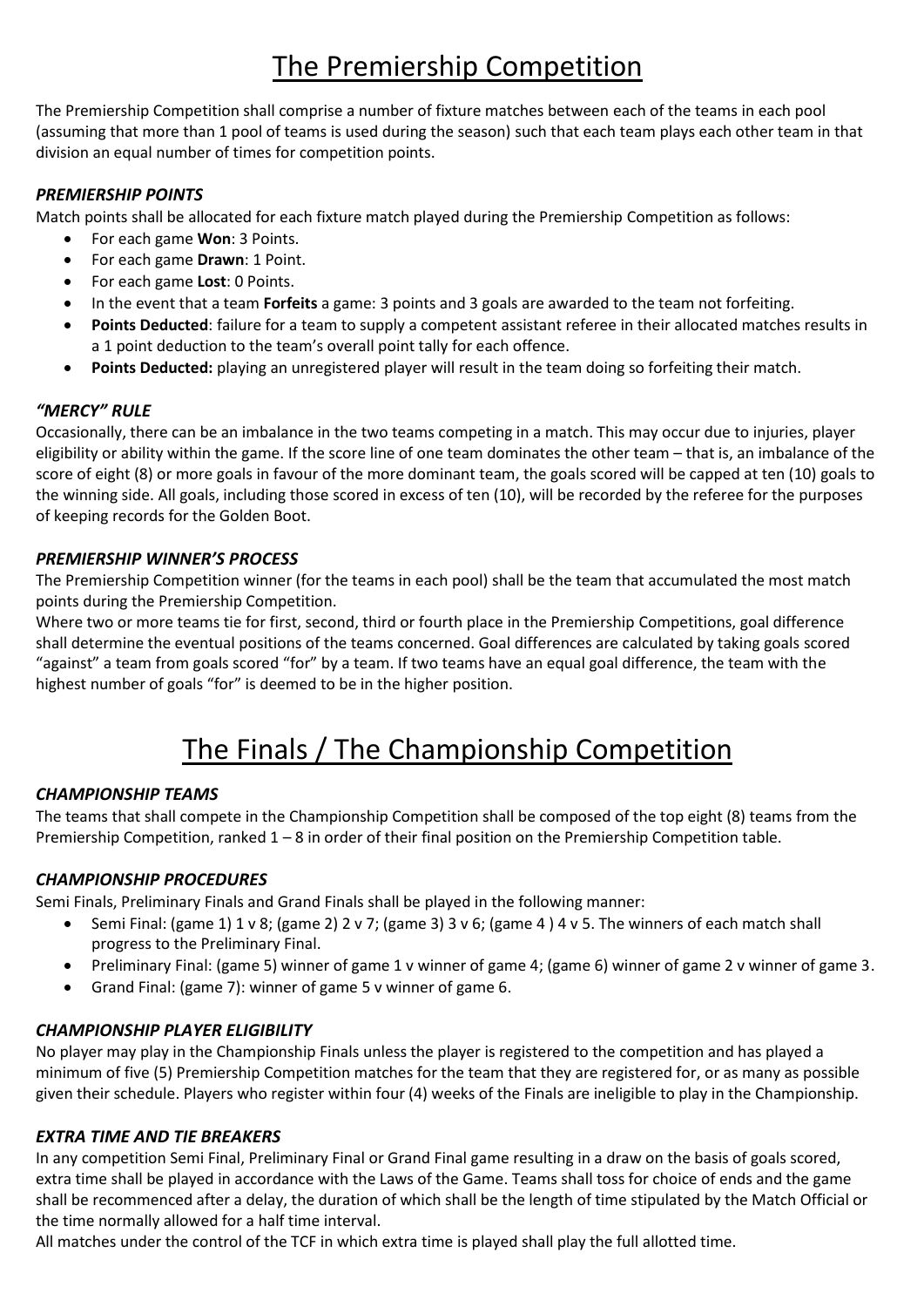# The Premiership Competition

The Premiership Competition shall comprise a number of fixture matches between each of the teams in each pool (assuming that more than 1 pool of teams is used during the season) such that each team plays each other team in that division an equal number of times for competition points.

### *PREMIERSHIP POINTS*

Match points shall be allocated for each fixture match played during the Premiership Competition as follows:

- For each game **Won**: 3 Points.
- For each game **Drawn**: 1 Point.
- For each game **Lost**: 0 Points.
- In the event that a team **Forfeits** a game: 3 points and 3 goals are awarded to the team not forfeiting.
- **Points Deducted**: failure for a team to supply a competent assistant referee in their allocated matches results in a 1 point deduction to the team's overall point tally for each offence.
- **Points Deducted:** playing an unregistered player will result in the team doing so forfeiting their match.

#### *"MERCY" RULE*

Occasionally, there can be an imbalance in the two teams competing in a match. This may occur due to injuries, player eligibility or ability within the game. If the score line of one team dominates the other team – that is, an imbalance of the score of eight (8) or more goals in favour of the more dominant team, the goals scored will be capped at ten (10) goals to the winning side. All goals, including those scored in excess of ten (10), will be recorded by the referee for the purposes of keeping records for the Golden Boot.

### *PREMIERSHIP WINNER'S PROCESS*

The Premiership Competition winner (for the teams in each pool) shall be the team that accumulated the most match points during the Premiership Competition.

Where two or more teams tie for first, second, third or fourth place in the Premiership Competitions, goal difference shall determine the eventual positions of the teams concerned. Goal differences are calculated by taking goals scored "against" a team from goals scored "for" by a team. If two teams have an equal goal difference, the team with the highest number of goals "for" is deemed to be in the higher position.

# The Finals / The Championship Competition

### *CHAMPIONSHIP TEAMS*

The teams that shall compete in the Championship Competition shall be composed of the top eight (8) teams from the Premiership Competition, ranked 1 – 8 in order of their final position on the Premiership Competition table.

### *CHAMPIONSHIP PROCEDURES*

Semi Finals, Preliminary Finals and Grand Finals shall be played in the following manner:

- Semi Final: (game 1) 1 v 8; (game 2) 2 v 7; (game 3) 3 v 6; (game 4 ) 4 v 5. The winners of each match shall progress to the Preliminary Final.
- Preliminary Final: (game 5) winner of game 1 v winner of game 4; (game 6) winner of game 2 v winner of game 3.
- Grand Final: (game 7): winner of game 5 v winner of game 6.

#### *CHAMPIONSHIP PLAYER ELIGIBILITY*

No player may play in the Championship Finals unless the player is registered to the competition and has played a minimum of five (5) Premiership Competition matches for the team that they are registered for, or as many as possible given their schedule. Players who register within four (4) weeks of the Finals are ineligible to play in the Championship.

#### *EXTRA TIME AND TIE BREAKERS*

In any competition Semi Final, Preliminary Final or Grand Final game resulting in a draw on the basis of goals scored, extra time shall be played in accordance with the Laws of the Game. Teams shall toss for choice of ends and the game shall be recommenced after a delay, the duration of which shall be the length of time stipulated by the Match Official or the time normally allowed for a half time interval.

All matches under the control of the TCF in which extra time is played shall play the full allotted time.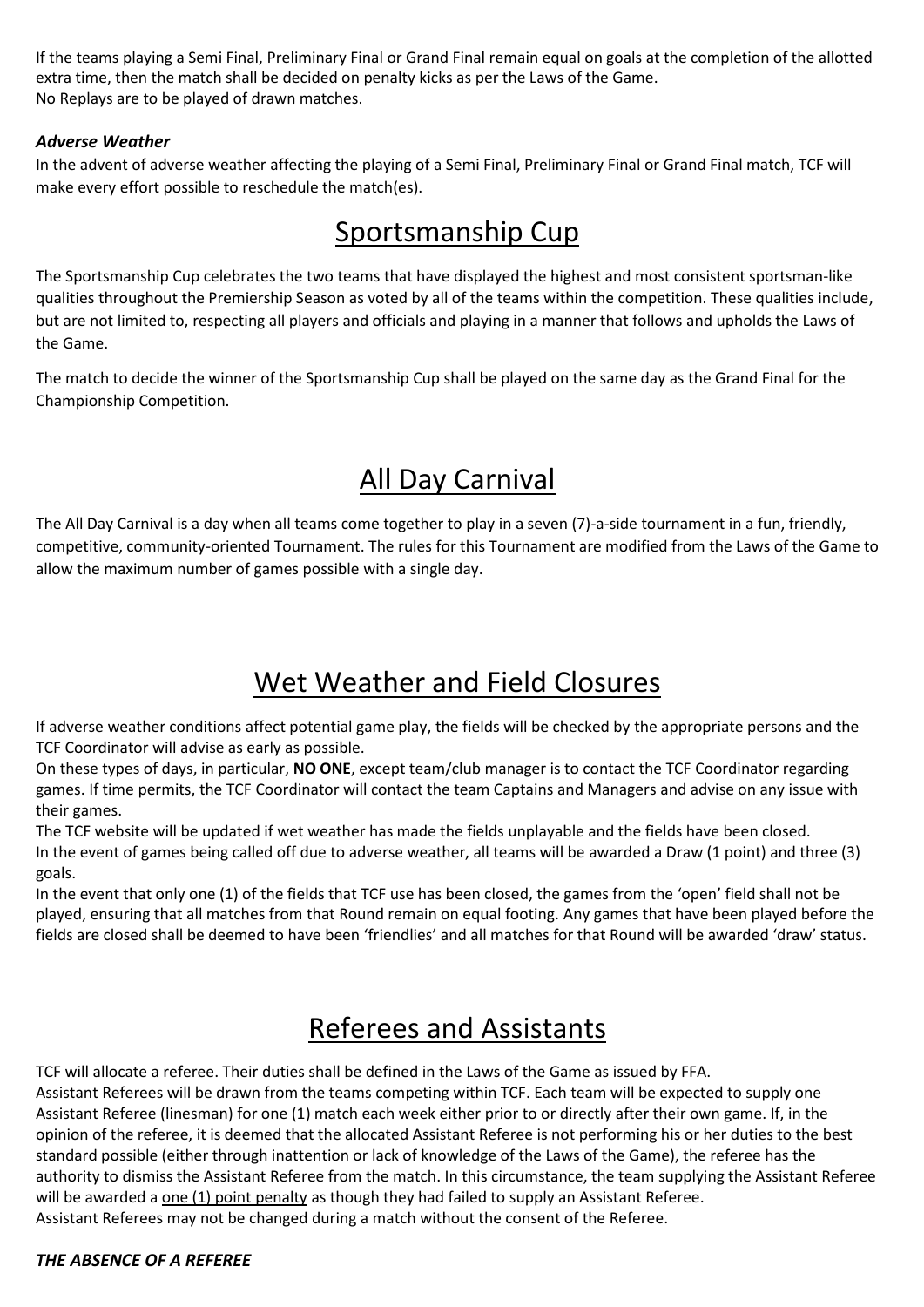If the teams playing a Semi Final, Preliminary Final or Grand Final remain equal on goals at the completion of the allotted extra time, then the match shall be decided on penalty kicks as per the Laws of the Game. No Replays are to be played of drawn matches.

### *Adverse Weather*

In the advent of adverse weather affecting the playing of a Semi Final, Preliminary Final or Grand Final match, TCF will make every effort possible to reschedule the match(es).

# Sportsmanship Cup

The Sportsmanship Cup celebrates the two teams that have displayed the highest and most consistent sportsman-like qualities throughout the Premiership Season as voted by all of the teams within the competition. These qualities include, but are not limited to, respecting all players and officials and playing in a manner that follows and upholds the Laws of the Game.

The match to decide the winner of the Sportsmanship Cup shall be played on the same day as the Grand Final for the Championship Competition.

# All Day Carnival

The All Day Carnival is a day when all teams come together to play in a seven (7)-a-side tournament in a fun, friendly, competitive, community-oriented Tournament. The rules for this Tournament are modified from the Laws of the Game to allow the maximum number of games possible with a single day.

# Wet Weather and Field Closures

If adverse weather conditions affect potential game play, the fields will be checked by the appropriate persons and the TCF Coordinator will advise as early as possible.

On these types of days, in particular, **NO ONE**, except team/club manager is to contact the TCF Coordinator regarding games. If time permits, the TCF Coordinator will contact the team Captains and Managers and advise on any issue with their games.

The TCF website will be updated if wet weather has made the fields unplayable and the fields have been closed. In the event of games being called off due to adverse weather, all teams will be awarded a Draw (1 point) and three (3) goals.

In the event that only one (1) of the fields that TCF use has been closed, the games from the 'open' field shall not be played, ensuring that all matches from that Round remain on equal footing. Any games that have been played before the fields are closed shall be deemed to have been 'friendlies' and all matches for that Round will be awarded 'draw' status.

# Referees and Assistants

TCF will allocate a referee. Their duties shall be defined in the Laws of the Game as issued by FFA.

Assistant Referees will be drawn from the teams competing within TCF. Each team will be expected to supply one Assistant Referee (linesman) for one (1) match each week either prior to or directly after their own game. If, in the opinion of the referee, it is deemed that the allocated Assistant Referee is not performing his or her duties to the best standard possible (either through inattention or lack of knowledge of the Laws of the Game), the referee has the authority to dismiss the Assistant Referee from the match. In this circumstance, the team supplying the Assistant Referee will be awarded a one (1) point penalty as though they had failed to supply an Assistant Referee. Assistant Referees may not be changed during a match without the consent of the Referee.

### *THE ABSENCE OF A REFEREE*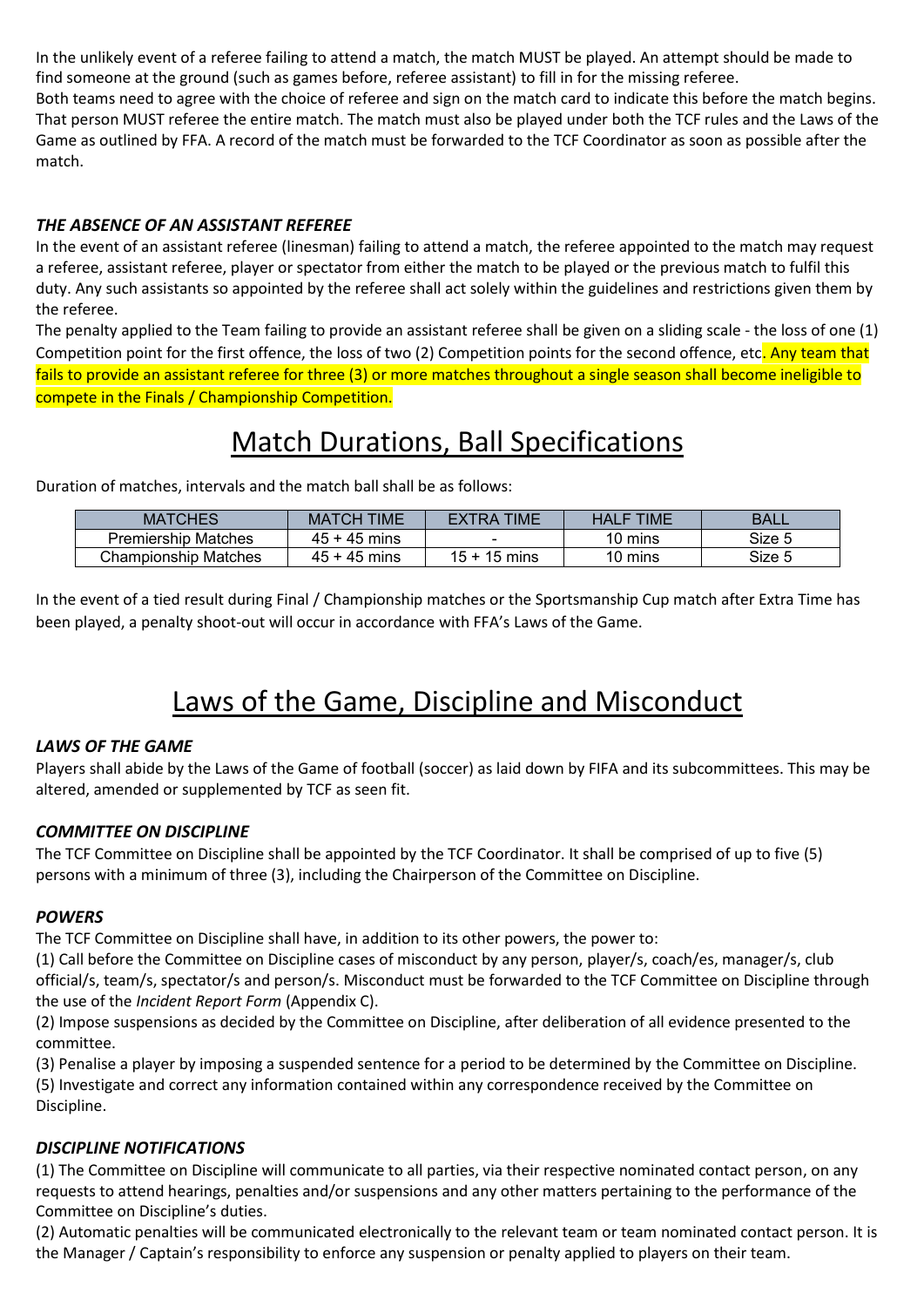In the unlikely event of a referee failing to attend a match, the match MUST be played. An attempt should be made to find someone at the ground (such as games before, referee assistant) to fill in for the missing referee. Both teams need to agree with the choice of referee and sign on the match card to indicate this before the match begins. That person MUST referee the entire match. The match must also be played under both the TCF rules and the Laws of the Game as outlined by FFA. A record of the match must be forwarded to the TCF Coordinator as soon as possible after the match.

### *THE ABSENCE OF AN ASSISTANT REFEREE*

In the event of an assistant referee (linesman) failing to attend a match, the referee appointed to the match may request a referee, assistant referee, player or spectator from either the match to be played or the previous match to fulfil this duty. Any such assistants so appointed by the referee shall act solely within the guidelines and restrictions given them by the referee.

The penalty applied to the Team failing to provide an assistant referee shall be given on a sliding scale - the loss of one (1) Competition point for the first offence, the loss of two (2) Competition points for the second offence, etc. Any team that fails to provide an assistant referee for three (3) or more matches throughout a single season shall become ineligible to compete in the Finals / Championship Competition.

# Match Durations, Ball Specifications

Duration of matches, intervals and the match ball shall be as follows:

| <b>MATCHES</b>           | TIME<br>TCH<br><b>WA</b> | TIME<br>RД       | TIME<br><b>TAL</b> | BALL   |
|--------------------------|--------------------------|------------------|--------------------|--------|
| Premiership<br>› Matches | -45 mins<br>45           |                  | 10 mins            | Size 5 |
| Championship<br>Matches  | 45<br>-45<br>mins        | 15<br>15<br>mins | 10 mins            | Size 5 |

In the event of a tied result during Final / Championship matches or the Sportsmanship Cup match after Extra Time has been played, a penalty shoot-out will occur in accordance with FFA's Laws of the Game.

# Laws of the Game, Discipline and Misconduct

### *LAWS OF THE GAME*

Players shall abide by the Laws of the Game of football (soccer) as laid down by FIFA and its subcommittees. This may be altered, amended or supplemented by TCF as seen fit.

### *COMMITTEE ON DISCIPLINE*

The TCF Committee on Discipline shall be appointed by the TCF Coordinator. It shall be comprised of up to five (5) persons with a minimum of three (3), including the Chairperson of the Committee on Discipline.

#### *POWERS*

The TCF Committee on Discipline shall have, in addition to its other powers, the power to:

(1) Call before the Committee on Discipline cases of misconduct by any person, player/s, coach/es, manager/s, club official/s, team/s, spectator/s and person/s. Misconduct must be forwarded to the TCF Committee on Discipline through the use of the *Incident Report Form* (Appendix C).

(2) Impose suspensions as decided by the Committee on Discipline, after deliberation of all evidence presented to the committee.

(3) Penalise a player by imposing a suspended sentence for a period to be determined by the Committee on Discipline. (5) Investigate and correct any information contained within any correspondence received by the Committee on Discipline.

### *DISCIPLINE NOTIFICATIONS*

(1) The Committee on Discipline will communicate to all parties, via their respective nominated contact person, on any requests to attend hearings, penalties and/or suspensions and any other matters pertaining to the performance of the Committee on Discipline's duties.

(2) Automatic penalties will be communicated electronically to the relevant team or team nominated contact person. It is the Manager / Captain's responsibility to enforce any suspension or penalty applied to players on their team.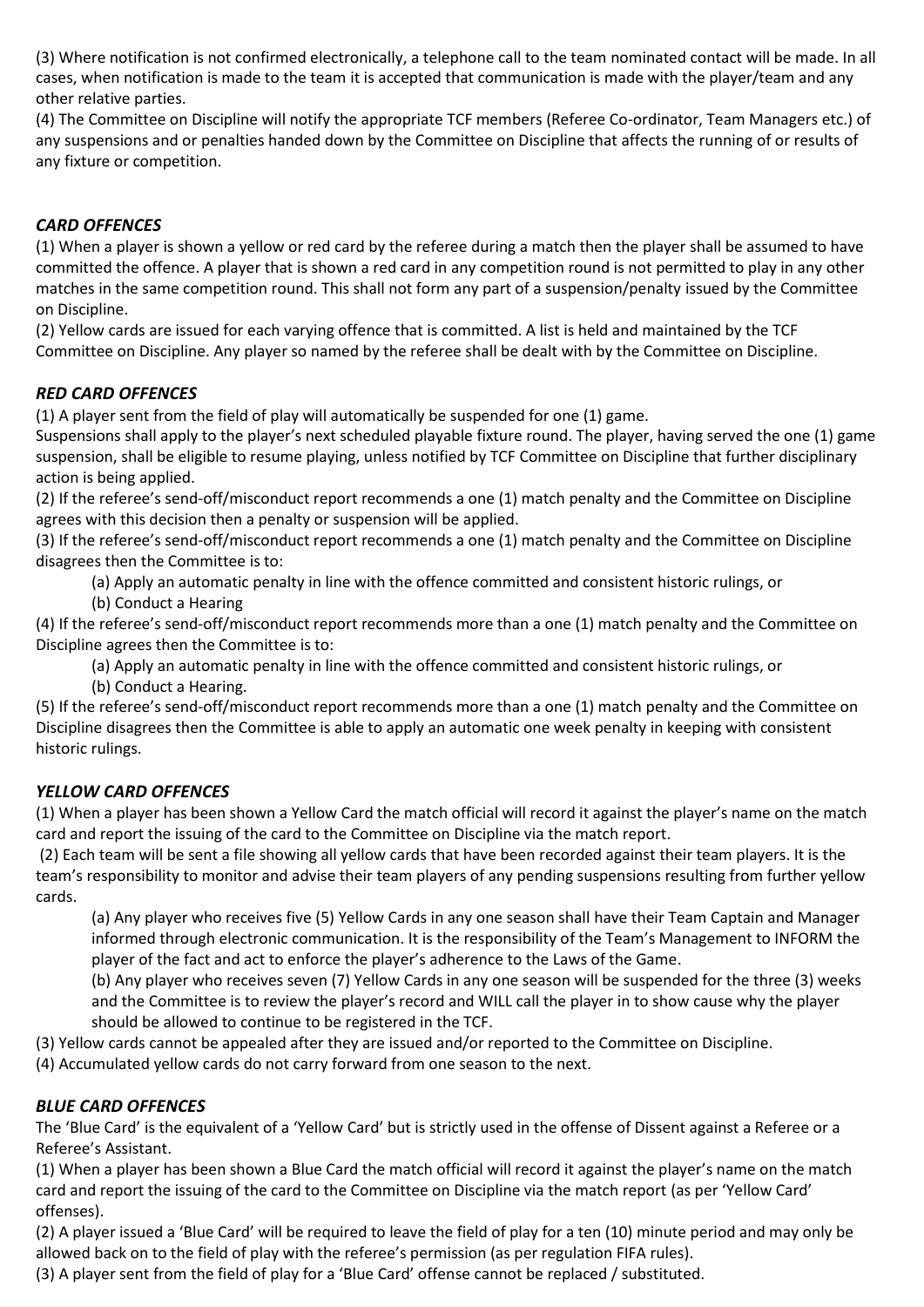(3) Where notification is not confirmed electronically, a telephone call to the team nominated contact will be made. In all cases, when notification is made to the team it is accepted that communication is made with the player/team and any other relative parties.

(4) The Committee on Discipline will notify the appropriate TCF members (Referee Co-ordinator, Team Managers etc.) of any suspensions and or penalties handed down by the Committee on Discipline that affects the running of or results of any fixture or competition.

### *CARD OFFENCES*

(1) When a player is shown a yellow or red card by the referee during a match then the player shall be assumed to have committed the offence. A player that is shown a red card in any competition round is not permitted to play in any other matches in the same competition round. This shall not form any part of a suspension/penalty issued by the Committee on Discipline.

(2) Yellow cards are issued for each varying offence that is committed. A list is held and maintained by the TCF Committee on Discipline. Any player so named by the referee shall be dealt with by the Committee on Discipline.

#### *RED CARD OFFENCES*

(1) A player sent from the field of play will automatically be suspended for one (1) game.

Suspensions shall apply to the player's next scheduled playable fixture round. The player, having served the one (1) game suspension, shall be eligible to resume playing, unless notified by TCF Committee on Discipline that further disciplinary action is being applied.

(2) If the referee's send-off/misconduct report recommends a one (1) match penalty and the Committee on Discipline agrees with this decision then a penalty or suspension will be applied.

(3) If the referee's send-off/misconduct report recommends a one (1) match penalty and the Committee on Discipline disagrees then the Committee is to:

- (a) Apply an automatic penalty in line with the offence committed and consistent historic rulings, or
- (b) Conduct a Hearing

(4) If the referee's send-off/misconduct report recommends more than a one (1) match penalty and the Committee on Discipline agrees then the Committee is to:

(a) Apply an automatic penalty in line with the offence committed and consistent historic rulings, or (b) Conduct a Hearing.

(5) If the referee's send-off/misconduct report recommends more than a one (1) match penalty and the Committee on Discipline disagrees then the Committee is able to apply an automatic one week penalty in keeping with consistent historic rulings.

### *YELLOW CARD OFFENCES*

(1) When a player has been shown a Yellow Card the match official will record it against the player's name on the match card and report the issuing of the card to the Committee on Discipline via the match report.

(2) Each team will be sent a file showing all yellow cards that have been recorded against their team players. It is the team's responsibility to monitor and advise their team players of any pending suspensions resulting from further yellow cards.

(a) Any player who receives five (5) Yellow Cards in any one season shall have their Team Captain and Manager informed through electronic communication. It is the responsibility of the Team's Management to INFORM the player of the fact and act to enforce the player's adherence to the Laws of the Game.

(b) Any player who receives seven (7) Yellow Cards in any one season will be suspended for the three (3) weeks and the Committee is to review the player's record and WILL call the player in to show cause why the player should be allowed to continue to be registered in the TCF.

(3) Yellow cards cannot be appealed after they are issued and/or reported to the Committee on Discipline.

(4) Accumulated yellow cards do not carry forward from one season to the next.

### *BLUE CARD OFFENCES*

The 'Blue Card' is the equivalent of a 'Yellow Card' but is strictly used in the offense of Dissent against a Referee or a Referee's Assistant.

(1) When a player has been shown a Blue Card the match official will record it against the player's name on the match card and report the issuing of the card to the Committee on Discipline via the match report (as per 'Yellow Card' offenses).

(2) A player issued a 'Blue Card' will be required to leave the field of play for a ten (10) minute period and may only be allowed back on to the field of play with the referee's permission (as per regulation FIFA rules).

(3) A player sent from the field of play for a 'Blue Card' offense cannot be replaced / substituted.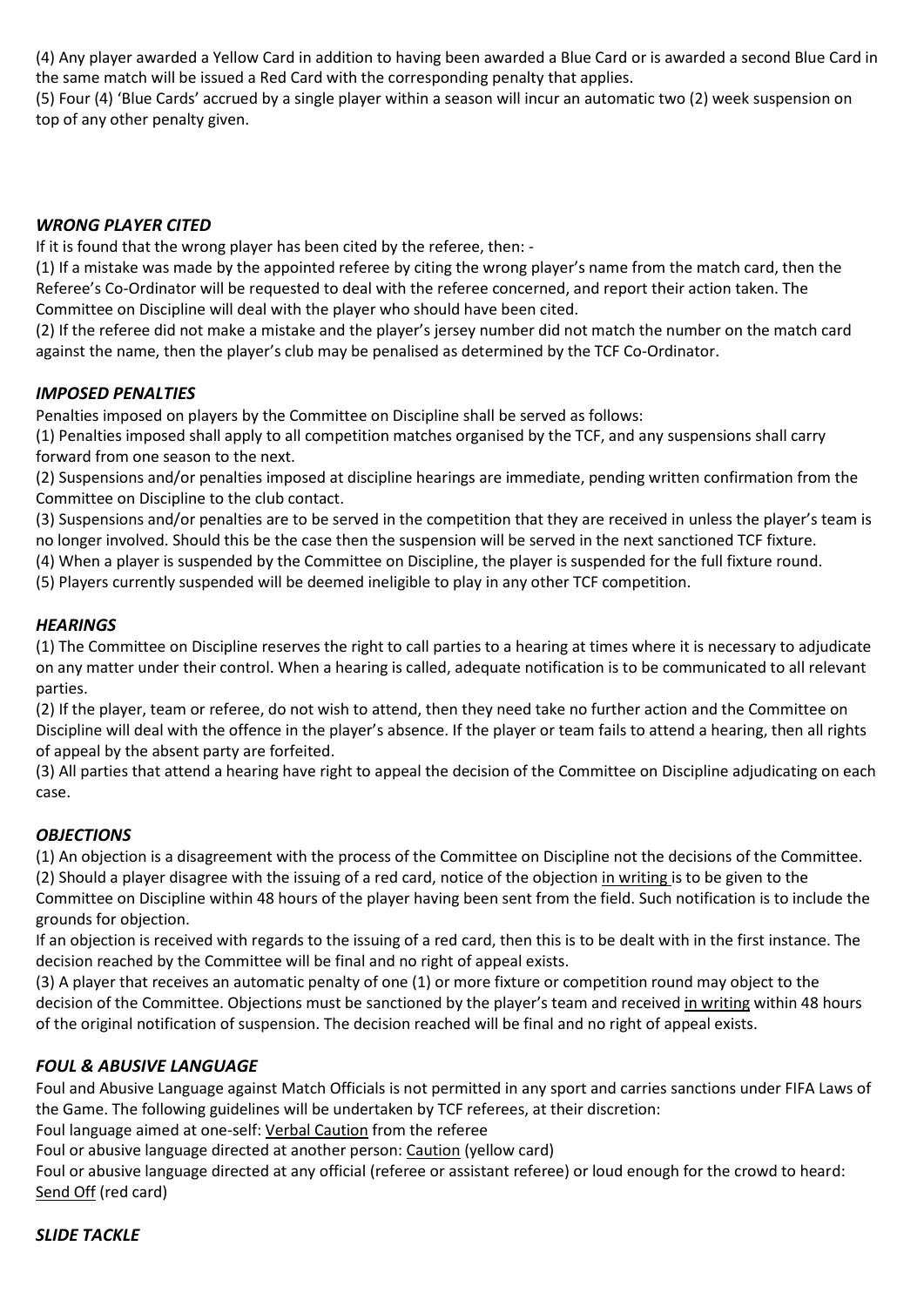(4) Any player awarded a Yellow Card in addition to having been awarded a Blue Card or is awarded a second Blue Card in the same match will be issued a Red Card with the corresponding penalty that applies.

(5) Four (4) 'Blue Cards' accrued by a single player within a season will incur an automatic two (2) week suspension on top of any other penalty given.

### *WRONG PLAYER CITED*

If it is found that the wrong player has been cited by the referee, then: -

(1) If a mistake was made by the appointed referee by citing the wrong player's name from the match card, then the Referee's Co-Ordinator will be requested to deal with the referee concerned, and report their action taken. The Committee on Discipline will deal with the player who should have been cited.

(2) If the referee did not make a mistake and the player's jersey number did not match the number on the match card against the name, then the player's club may be penalised as determined by the TCF Co-Ordinator.

#### *IMPOSED PENALTIES*

Penalties imposed on players by the Committee on Discipline shall be served as follows:

(1) Penalties imposed shall apply to all competition matches organised by the TCF, and any suspensions shall carry forward from one season to the next.

(2) Suspensions and/or penalties imposed at discipline hearings are immediate, pending written confirmation from the Committee on Discipline to the club contact.

(3) Suspensions and/or penalties are to be served in the competition that they are received in unless the player's team is no longer involved. Should this be the case then the suspension will be served in the next sanctioned TCF fixture.

(4) When a player is suspended by the Committee on Discipline, the player is suspended for the full fixture round.

(5) Players currently suspended will be deemed ineligible to play in any other TCF competition.

#### *HEARINGS*

(1) The Committee on Discipline reserves the right to call parties to a hearing at times where it is necessary to adjudicate on any matter under their control. When a hearing is called, adequate notification is to be communicated to all relevant parties.

(2) If the player, team or referee, do not wish to attend, then they need take no further action and the Committee on Discipline will deal with the offence in the player's absence. If the player or team fails to attend a hearing, then all rights of appeal by the absent party are forfeited.

(3) All parties that attend a hearing have right to appeal the decision of the Committee on Discipline adjudicating on each case.

#### *OBJECTIONS*

(1) An objection is a disagreement with the process of the Committee on Discipline not the decisions of the Committee. (2) Should a player disagree with the issuing of a red card, notice of the objection in writing is to be given to the Committee on Discipline within 48 hours of the player having been sent from the field. Such notification is to include the grounds for objection.

If an objection is received with regards to the issuing of a red card, then this is to be dealt with in the first instance. The decision reached by the Committee will be final and no right of appeal exists.

(3) A player that receives an automatic penalty of one (1) or more fixture or competition round may object to the decision of the Committee. Objections must be sanctioned by the player's team and received in writing within 48 hours of the original notification of suspension. The decision reached will be final and no right of appeal exists.

### *FOUL & ABUSIVE LANGUAGE*

Foul and Abusive Language against Match Officials is not permitted in any sport and carries sanctions under FIFA Laws of the Game. The following guidelines will be undertaken by TCF referees, at their discretion:

Foul language aimed at one-self: Verbal Caution from the referee

Foul or abusive language directed at another person: Caution (yellow card)

Foul or abusive language directed at any official (referee or assistant referee) or loud enough for the crowd to heard: Send Off (red card)

### *SLIDE TACKLE*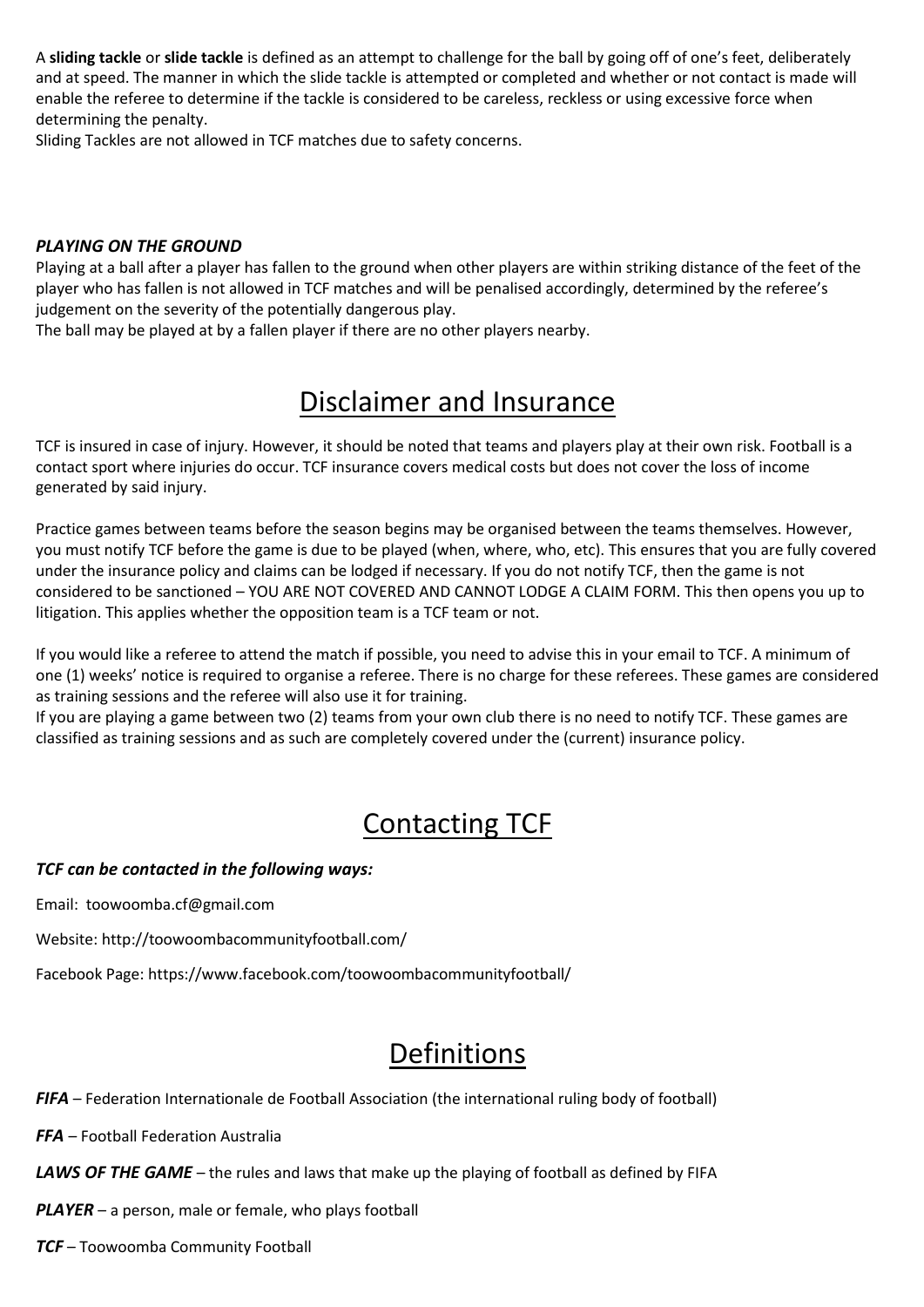A **sliding tackle** or **slide tackle** is defined as an attempt to challenge for the ball by going off of one's feet, deliberately and at speed. The manner in which the slide tackle is attempted or completed and whether or not contact is made will enable the referee to determine if the tackle is considered to be careless, reckless or using excessive force when determining the penalty.

Sliding Tackles are not allowed in TCF matches due to safety concerns.

#### *PLAYING ON THE GROUND*

Playing at a ball after a player has fallen to the ground when other players are within striking distance of the feet of the player who has fallen is not allowed in TCF matches and will be penalised accordingly, determined by the referee's judgement on the severity of the potentially dangerous play.

The ball may be played at by a fallen player if there are no other players nearby.

### Disclaimer and Insurance

TCF is insured in case of injury. However, it should be noted that teams and players play at their own risk. Football is a contact sport where injuries do occur. TCF insurance covers medical costs but does not cover the loss of income generated by said injury.

Practice games between teams before the season begins may be organised between the teams themselves. However, you must notify TCF before the game is due to be played (when, where, who, etc). This ensures that you are fully covered under the insurance policy and claims can be lodged if necessary. If you do not notify TCF, then the game is not considered to be sanctioned – YOU ARE NOT COVERED AND CANNOT LODGE A CLAIM FORM. This then opens you up to litigation. This applies whether the opposition team is a TCF team or not.

If you would like a referee to attend the match if possible, you need to advise this in your email to TCF. A minimum of one (1) weeks' notice is required to organise a referee. There is no charge for these referees. These games are considered as training sessions and the referee will also use it for training.

If you are playing a game between two (2) teams from your own club there is no need to notify TCF. These games are classified as training sessions and as such are completely covered under the (current) insurance policy.

# Contacting TCF

#### *TCF can be contacted in the following ways:*

Email: toowoomba.cf@gmail.com

Website: http://toowoombacommunityfootball.com/

Facebook Page: https://www.facebook.com/toowoombacommunityfootball/

# Definitions

*FIFA* – Federation Internationale de Football Association (the international ruling body of football)

*FFA* – Football Federation Australia

**LAWS OF THE GAME** – the rules and laws that make up the playing of football as defined by FIFA

*PLAYER* – a person, male or female, who plays football

*TCF* – Toowoomba Community Football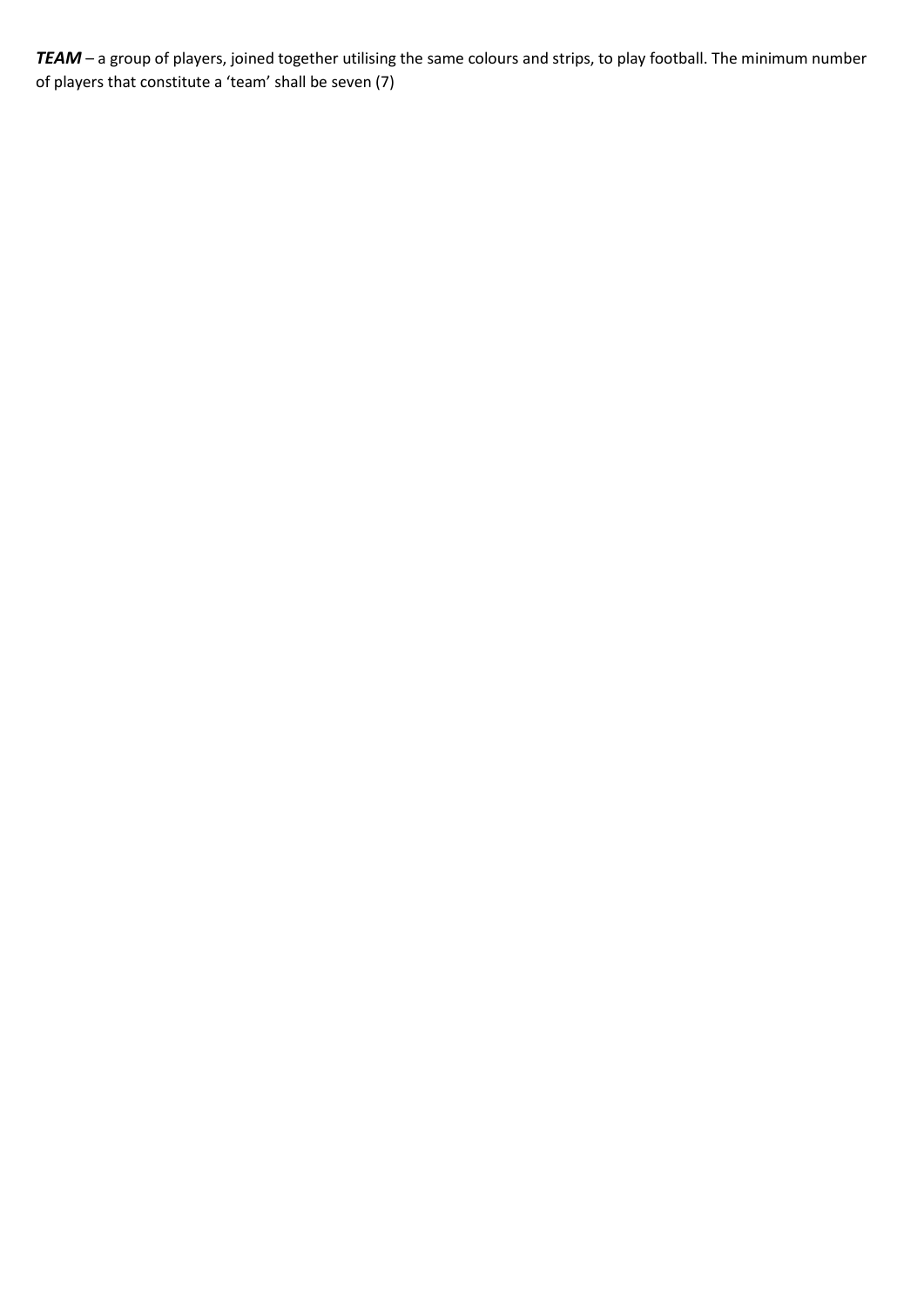*TEAM* – a group of players, joined together utilising the same colours and strips, to play football. The minimum number of players that constitute a 'team' shall be seven (7)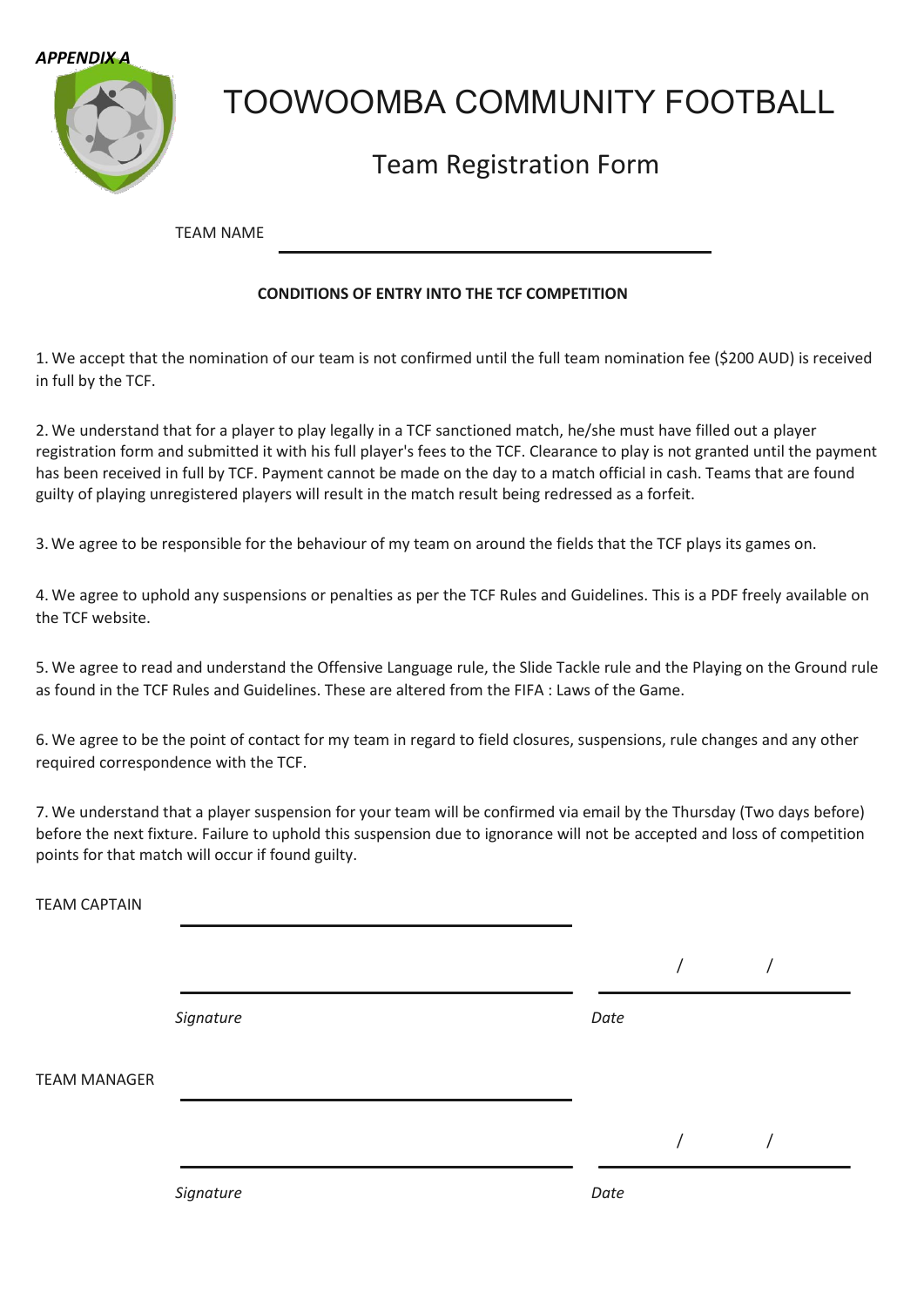



# TOOWOOMBA COMMUNITY FOOTBALL

### Team Registration Form

TEAM NAME

### **CONDITIONS OF ENTRY INTO THE TCF COMPETITION**

1. We accept that the nomination of our team is not confirmed until the full team nomination fee (\$200 AUD) is received in full by the TCF.

2. We understand that for a player to play legally in a TCF sanctioned match, he/she must have filled out a player registration form and submitted it with his full player's fees to the TCF. Clearance to play is not granted until the payment has been received in full by TCF. Payment cannot be made on the day to a match official in cash. Teams that are found guilty of playing unregistered players will result in the match result being redressed as a forfeit.

3.We agree to be responsible for the behaviour of my team on around the fields that the TCF plays its games on.

4. We agree to uphold any suspensions or penalties as per the TCF Rules and Guidelines. This is a PDF freely available on the TCF website.

5. We agree to read and understand the Offensive Language rule, the Slide Tackle rule and the Playing on the Ground rule as found in the TCF Rules and Guidelines. These are altered from the FIFA : Laws of the Game.

6. We agree to be the point of contact for my team in regard to field closures, suspensions, rule changes and any other required correspondence with the TCF.

7. We understand that a player suspension for your team will be confirmed via email by the Thursday (Two days before) before the next fixture. Failure to uphold this suspension due to ignorance will not be accepted and loss of competition points for that match will occur if found guilty.

| <b>TEAM CAPTAIN</b> |           |      |  |  |
|---------------------|-----------|------|--|--|
|                     |           |      |  |  |
|                     | Signature | Date |  |  |
| <b>TEAM MANAGER</b> |           |      |  |  |
|                     |           |      |  |  |
|                     | Signature | Date |  |  |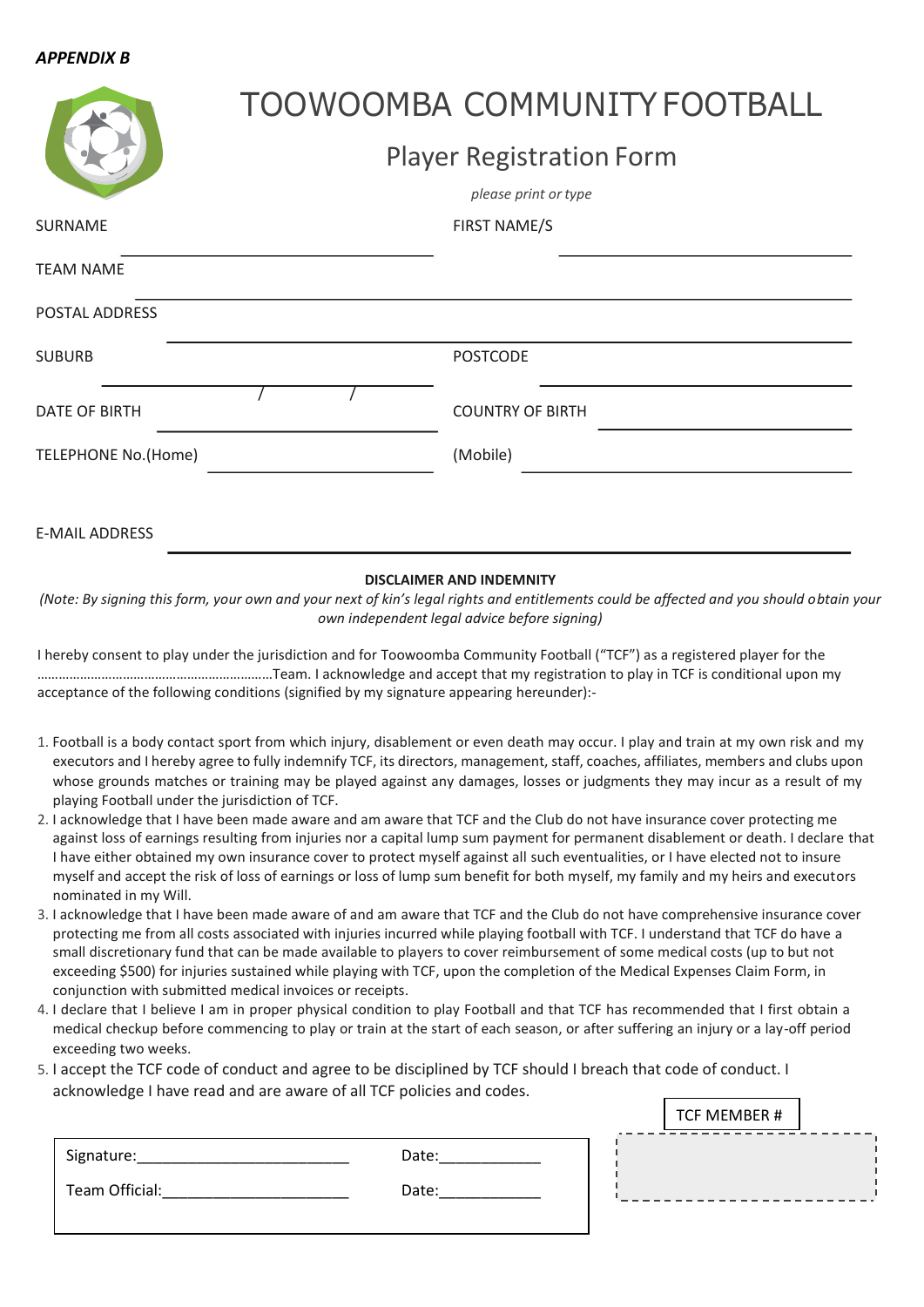#### *APPENDIX B*

|                            |                                 | TOOWOOMBA COMMUNITY FOOTBALL |  |
|----------------------------|---------------------------------|------------------------------|--|
|                            | <b>Player Registration Form</b> |                              |  |
|                            |                                 | please print or type         |  |
| SURNAME                    |                                 | <b>FIRST NAME/S</b>          |  |
| <b>TEAM NAME</b>           |                                 |                              |  |
| POSTAL ADDRESS             |                                 |                              |  |
| <b>SUBURB</b>              |                                 | <b>POSTCODE</b>              |  |
| <b>DATE OF BIRTH</b>       |                                 | <b>COUNTRY OF BIRTH</b>      |  |
| <b>TELEPHONE No.(Home)</b> |                                 | (Mobile)                     |  |
| <b>E-MAIL ADDRESS</b>      |                                 |                              |  |

#### **DISCLAIMER AND INDEMNITY**

*(Note: By signing this form, your own and your next of kin's legal rights and entitlements could be affected and you should obtain your own independent legal advice before signing)*

I hereby consent to play under the jurisdiction and for Toowoomba Community Football ("TCF") as a registered player for the …………………………………………………………Team. I acknowledge and accept that my registration to play in TCF is conditional upon my acceptance of the following conditions (signified by my signature appearing hereunder):-

- 1. Football is a body contact sport from which injury, disablement or even death may occur. I play and train at my own risk and my executors and I hereby agree to fully indemnify TCF, its directors, management, staff, coaches, affiliates, members and clubs upon whose grounds matches or training may be played against any damages, losses or judgments they may incur as a result of my playing Football under the jurisdiction of TCF.
- 2. I acknowledge that I have been made aware and am aware that TCF and the Club do not have insurance cover protecting me against loss of earnings resulting from injuries nor a capital lump sum payment for permanent disablement or death. I declare that I have either obtained my own insurance cover to protect myself against all such eventualities, or I have elected not to insure myself and accept the risk of loss of earnings or loss of lump sum benefit for both myself, my family and my heirs and executors nominated in my Will.
- 3. I acknowledge that I have been made aware of and am aware that TCF and the Club do not have comprehensive insurance cover protecting me from all costs associated with injuries incurred while playing football with TCF. I understand that TCF do have a small discretionary fund that can be made available to players to cover reimbursement of some medical costs (up to but not exceeding \$500) for injuries sustained while playing with TCF, upon the completion of the Medical Expenses Claim Form, in conjunction with submitted medical invoices or receipts.
- 4. I declare that I believe I am in proper physical condition to play Football and that TCF has recommended that I first obtain a medical checkup before commencing to play or train at the start of each season, or after suffering an injury or a lay-off period exceeding two weeks.
- 5. I accept the TCF code of conduct and agree to be disciplined by TCF should I breach that code of conduct. I acknowledge I have read and are aware of all TCF policies and codes.

|                |       | TCF MEMBER # |
|----------------|-------|--------------|
| Signature:     | Date: |              |
| Team Official: | Date: |              |
|                |       |              |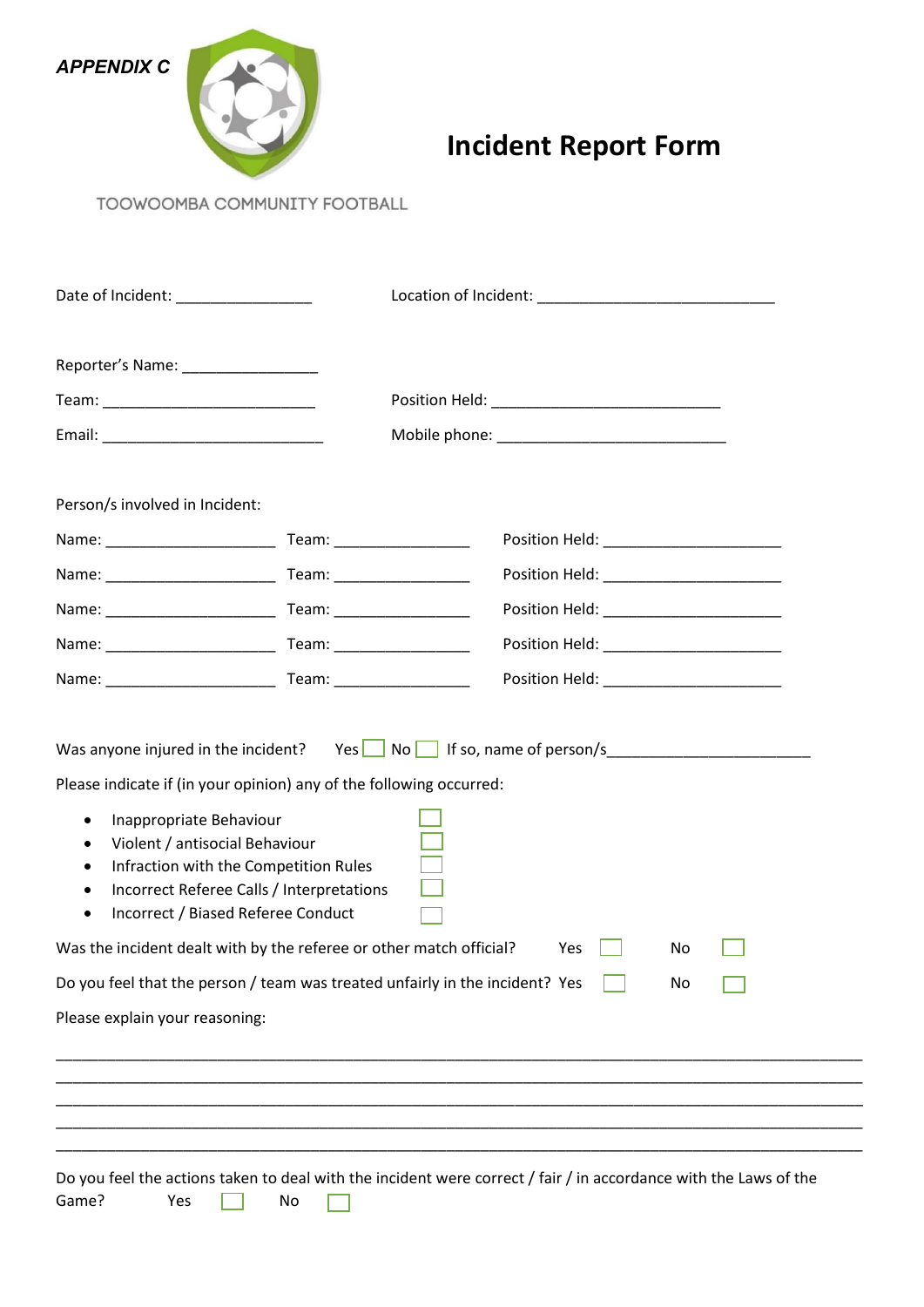



# **Incident Report Form**

TOOWOOMBA COMMUNITY FOOTBALL

|                                                                                                                                                            | Date of Incident: _________________                                                                                      |                                                                                    |  |  |
|------------------------------------------------------------------------------------------------------------------------------------------------------------|--------------------------------------------------------------------------------------------------------------------------|------------------------------------------------------------------------------------|--|--|
|                                                                                                                                                            |                                                                                                                          |                                                                                    |  |  |
|                                                                                                                                                            |                                                                                                                          |                                                                                    |  |  |
|                                                                                                                                                            |                                                                                                                          |                                                                                    |  |  |
| Person/s involved in Incident:                                                                                                                             |                                                                                                                          |                                                                                    |  |  |
|                                                                                                                                                            |                                                                                                                          |                                                                                    |  |  |
|                                                                                                                                                            |                                                                                                                          | Position Held: __________________________                                          |  |  |
|                                                                                                                                                            |                                                                                                                          | Position Held: _________________________                                           |  |  |
|                                                                                                                                                            |                                                                                                                          |                                                                                    |  |  |
|                                                                                                                                                            |                                                                                                                          |                                                                                    |  |  |
| Please indicate if (in your opinion) any of the following occurred:<br>Inappropriate Behaviour<br>$\bullet$<br>Violent / antisocial Behaviour<br>$\bullet$ | Infraction with the Competition Rules<br>Incorrect Referee Calls / Interpretations<br>Incorrect / Biased Referee Conduct |                                                                                    |  |  |
| Was the incident dealt with by the referee or other match official?                                                                                        |                                                                                                                          | Yes<br>No                                                                          |  |  |
|                                                                                                                                                            |                                                                                                                          | Do you feel that the person / team was treated unfairly in the incident? Yes<br>No |  |  |
| Please explain your reasoning:                                                                                                                             |                                                                                                                          |                                                                                    |  |  |
|                                                                                                                                                            |                                                                                                                          |                                                                                    |  |  |
|                                                                                                                                                            |                                                                                                                          |                                                                                    |  |  |
|                                                                                                                                                            |                                                                                                                          |                                                                                    |  |  |
|                                                                                                                                                            |                                                                                                                          |                                                                                    |  |  |

Do you feel the actions taken to deal with the incident were correct / fair / in accordance with the Laws of the Game? Yes **not a** No  $\overline{\phantom{a}}$